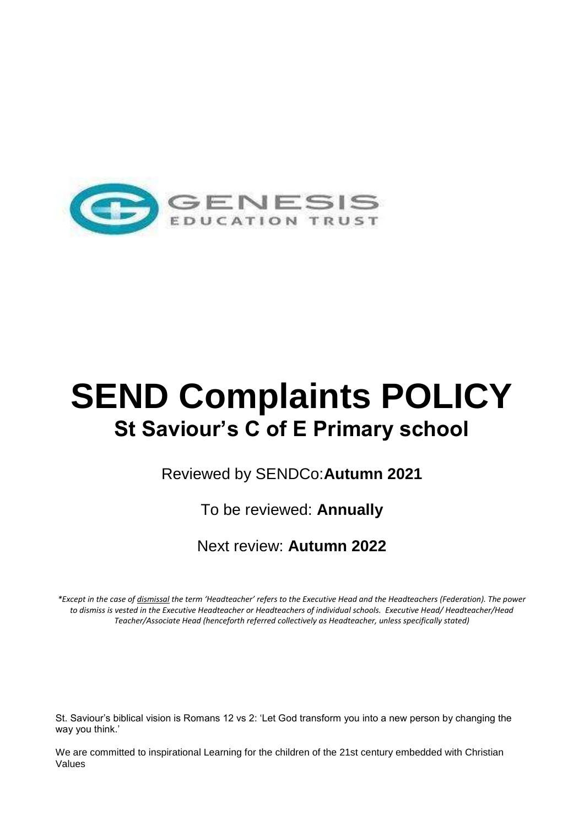

# **SEND Complaints POLICY St Saviour's C of E Primary school**

Reviewed by SENDCo:**Autumn 2021**

To be reviewed: **Annually**

Next review: **Autumn 2022**

*\*Except in the case of dismissal the term 'Headteacher' refers to the Executive Head and the Headteachers (Federation). The power to dismiss is vested in the Executive Headteacher or Headteachers of individual schools. Executive Head/ Headteacher/Head Teacher/Associate Head (henceforth referred collectively as Headteacher, unless specifically stated)*

St. Saviour's biblical vision is Romans 12 vs 2: 'Let God transform you into a new person by changing the way you think.'

We are committed to inspirational Learning for the children of the 21st century embedded with Christian Values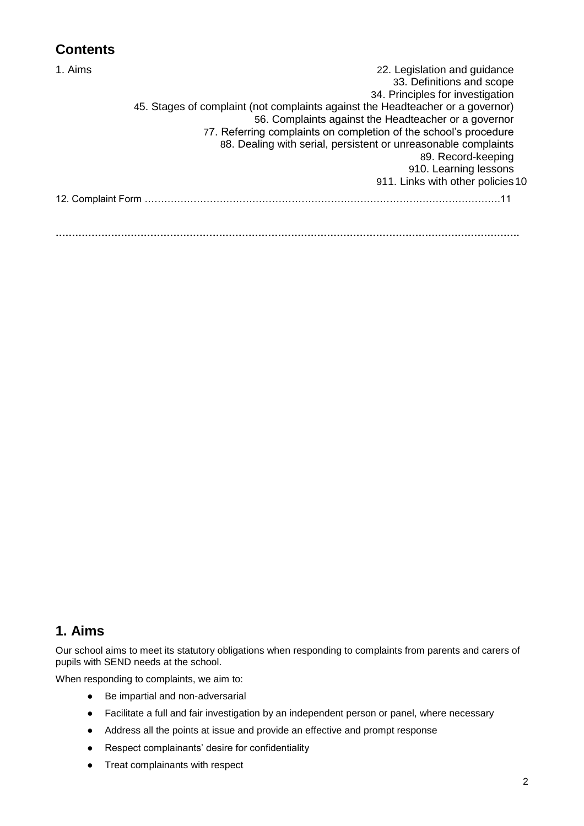# **Contents**

| 1. Aims | 22. Legislation and guidance                                                   |
|---------|--------------------------------------------------------------------------------|
|         | 33. Definitions and scope                                                      |
|         | 34. Principles for investigation                                               |
|         | 45. Stages of complaint (not complaints against the Headteacher or a governor) |
|         | 56. Complaints against the Headteacher or a governor                           |
|         | 77. Referring complaints on completion of the school's procedure               |
|         | 88. Dealing with serial, persistent or unreasonable complaints                 |
|         | 89. Record-keeping                                                             |
|         | 910. Learning lessons                                                          |
|         | 911. Links with other policies 10                                              |
|         |                                                                                |
|         |                                                                                |
|         |                                                                                |
|         |                                                                                |

#### **1. Aims**

Our school aims to meet its statutory obligations when responding to complaints from parents and carers of pupils with SEND needs at the school.

When responding to complaints, we aim to:

- Be impartial and non-adversarial
- Facilitate a full and fair investigation by an independent person or panel, where necessary
- Address all the points at issue and provide an effective and prompt response
- Respect complainants' desire for confidentiality
- Treat complainants with respect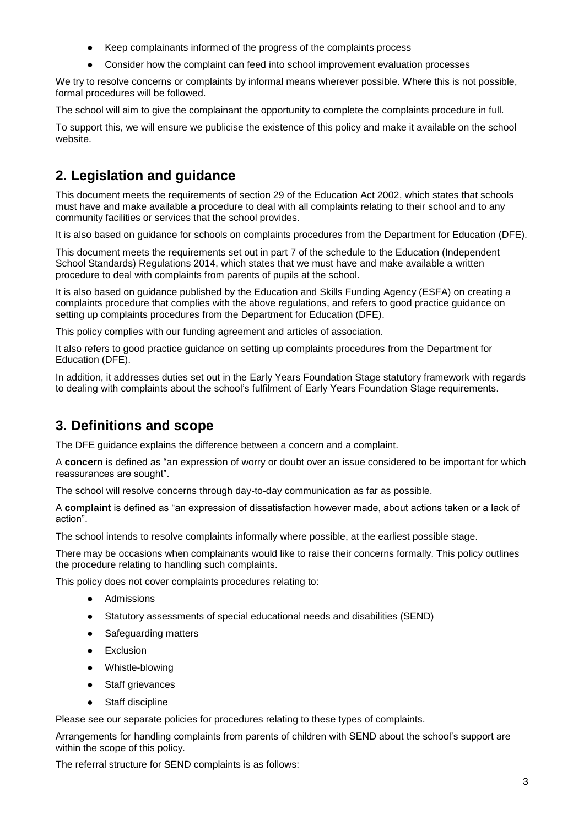- Keep complainants informed of the progress of the complaints process
- Consider how the complaint can feed into school improvement evaluation processes

We try to resolve concerns or complaints by informal means wherever possible. Where this is not possible, formal procedures will be followed.

The school will aim to give the complainant the opportunity to complete the complaints procedure in full.

To support this, we will ensure we publicise the existence of this policy and make it available on the school website.

# **2. Legislation and guidance**

This document meets the requirements of section 29 of the [Education Act 2002,](http://www.legislation.gov.uk/ukpga/2002/32/section/29) which states that schools must have and make available a procedure to deal with all complaints relating to their school and to any community facilities or services that the school provides.

It is also based on [guidance for schools on complaints procedures](https://www.gov.uk/government/publications/school-complaints-procedures) from the Department for Education (DFE).

This document meets the requirements set out in part 7 of the schedule to the [Education \(Independent](http://www.legislation.gov.uk/uksi/2014/3283/schedule/made)  [School Standards\) Regulations 2014,](http://www.legislation.gov.uk/uksi/2014/3283/schedule/made) which states that we must have and make available a written procedure to deal with complaints from parents of pupils at the school.

It is also based on guidance published by the Education and Skills Funding Agency (ESFA) on [creating a](https://www.gov.uk/government/publications/setting-up-an-academies-complaints-procedure)  [complaints procedure that complies with the above regulations,](https://www.gov.uk/government/publications/setting-up-an-academies-complaints-procedure) and refers to [good practice guidance on](https://www.gov.uk/government/publications/school-complaints-procedures)  [setting up complaints procedures](https://www.gov.uk/government/publications/school-complaints-procedures) from the Department for Education (DFE).

This policy complies with our funding agreement and articles of association.

It also refers to [good practice guidance on setting up complaints procedures](https://www.gov.uk/government/publications/school-complaints-procedures) from the Department for Education (DFE).

In addition, it addresses duties set out in the [Early Years Foundation Stage statutory framework](https://www.gov.uk/government/uploads/system/uploads/attachment_data/file/596629/EYFS_STATUTORY_FRAMEWORK_2017.pdf) with regards to dealing with complaints about the school's fulfilment of Early Years Foundation Stage requirements.

# **3. Definitions and scope**

The DFE guidance explains the difference between a concern and a complaint.

A **concern** is defined as "an expression of worry or doubt over an issue considered to be important for which reassurances are sought".

The school will resolve concerns through day-to-day communication as far as possible.

A **complaint** is defined as "an expression of dissatisfaction however made, about actions taken or a lack of action".

The school intends to resolve complaints informally where possible, at the earliest possible stage.

There may be occasions when complainants would like to raise their concerns formally. This policy outlines the procedure relating to handling such complaints.

This policy does not cover complaints procedures relating to:

- Admissions
- Statutory assessments of special educational needs and disabilities (SEND)
- Safeguarding matters
- Exclusion
- Whistle-blowing
- Staff grievances
- Staff discipline

Please see our separate policies for procedures relating to these types of complaints.

Arrangements for handling complaints from parents of children with SEND about the school's support are within the scope of this policy.

The referral structure for SEND complaints is as follows: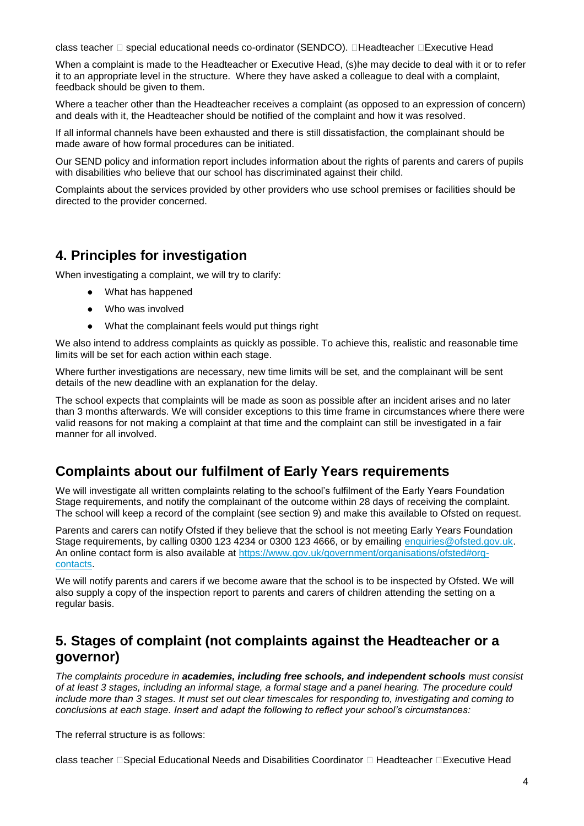class teacher  $\Box$  special educational needs co-ordinator (SENDCO).  $\Box$ Headteacher  $\Box$ Executive Head

When a complaint is made to the Headteacher or Executive Head, (s)he may decide to deal with it or to refer it to an appropriate level in the structure. Where they have asked a colleague to deal with a complaint, feedback should be given to them.

Where a teacher other than the Headteacher receives a complaint (as opposed to an expression of concern) and deals with it, the Headteacher should be notified of the complaint and how it was resolved.

If all informal channels have been exhausted and there is still dissatisfaction, the complainant should be made aware of how formal procedures can be initiated.

Our SEND policy and information report includes information about the rights of parents and carers of pupils with disabilities who believe that our school has discriminated against their child.

Complaints about the services provided by other providers who use school premises or facilities should be directed to the provider concerned.

#### **4. Principles for investigation**

When investigating a complaint, we will try to clarify:

- What has happened
- Who was involved
- What the complainant feels would put things right

We also intend to address complaints as quickly as possible. To achieve this, realistic and reasonable time limits will be set for each action within each stage.

Where further investigations are necessary, new time limits will be set, and the complainant will be sent details of the new deadline with an explanation for the delay.

The school expects that complaints will be made as soon as possible after an incident arises and no later than 3 months afterwards. We will consider exceptions to this time frame in circumstances where there were valid reasons for not making a complaint at that time and the complaint can still be investigated in a fair manner for all involved.

#### **Complaints about our fulfilment of Early Years requirements**

We will investigate all written complaints relating to the school's fulfilment of the Early Years Foundation Stage requirements, and notify the complainant of the outcome within 28 days of receiving the complaint. The school will keep a record of the complaint (see section 9) and make this available to Ofsted on request.

Parents and carers can notify Ofsted if they believe that the school is not meeting Early Years Foundation Stage requirements, by calling 0300 123 4234 or 0300 123 4666, or by emailing [enquiries@ofsted.gov.uk.](mailto:enquiries@ofsted.gov.uk) An online contact form is also available at [https://www.gov.uk/government/organisations/ofsted#org](https://www.gov.uk/government/organisations/ofsted#org-contacts)[contacts.](https://www.gov.uk/government/organisations/ofsted#org-contacts)

We will notify parents and carers if we become aware that the school is to be inspected by Ofsted. We will also supply a copy of the inspection report to parents and carers of children attending the setting on a regular basis.

#### **5. Stages of complaint (not complaints against the Headteacher or a governor)**

*The complaints procedure in academies, including free schools, and independent schools must consist of at least 3 stages, including an informal stage, a formal stage and a panel hearing. The procedure could include more than 3 stages. It must set out clear timescales for responding to, investigating and coming to conclusions at each stage. Insert and adapt the following to reflect your school's circumstances:*

The referral structure is as follows:

class teacher  $\Box$ Special Educational Needs and Disabilities Coordinator  $\Box$  Headteacher  $\Box$ Executive Head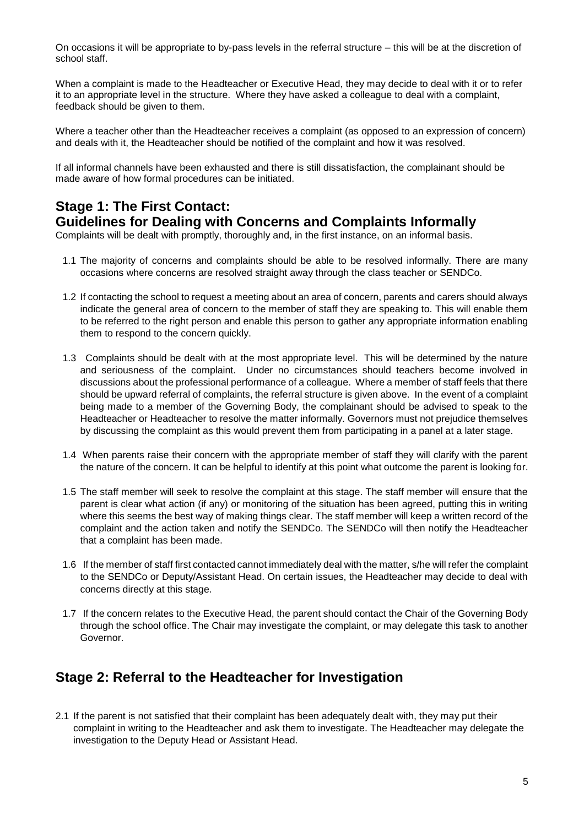On occasions it will be appropriate to by-pass levels in the referral structure – this will be at the discretion of school staff.

When a complaint is made to the Headteacher or Executive Head, they may decide to deal with it or to refer it to an appropriate level in the structure. Where they have asked a colleague to deal with a complaint, feedback should be given to them.

Where a teacher other than the Headteacher receives a complaint (as opposed to an expression of concern) and deals with it, the Headteacher should be notified of the complaint and how it was resolved.

If all informal channels have been exhausted and there is still dissatisfaction, the complainant should be made aware of how formal procedures can be initiated.

# **Stage 1: The First Contact:**

**Guidelines for Dealing with Concerns and Complaints Informally**

Complaints will be dealt with promptly, thoroughly and, in the first instance, on an informal basis.

- 1.1 The majority of concerns and complaints should be able to be resolved informally. There are many occasions where concerns are resolved straight away through the class teacher or SENDCo.
- 1.2 If contacting the school to request a meeting about an area of concern, parents and carers should always indicate the general area of concern to the member of staff they are speaking to. This will enable them to be referred to the right person and enable this person to gather any appropriate information enabling them to respond to the concern quickly.
- 1.3 Complaints should be dealt with at the most appropriate level. This will be determined by the nature and seriousness of the complaint. Under no circumstances should teachers become involved in discussions about the professional performance of a colleague. Where a member of staff feels that there should be upward referral of complaints, the referral structure is given above. In the event of a complaint being made to a member of the Governing Body, the complainant should be advised to speak to the Headteacher or Headteacher to resolve the matter informally. Governors must not prejudice themselves by discussing the complaint as this would prevent them from participating in a panel at a later stage.
- 1.4 When parents raise their concern with the appropriate member of staff they will clarify with the parent the nature of the concern. It can be helpful to identify at this point what outcome the parent is looking for.
- 1.5 The staff member will seek to resolve the complaint at this stage. The staff member will ensure that the parent is clear what action (if any) or monitoring of the situation has been agreed, putting this in writing where this seems the best way of making things clear. The staff member will keep a written record of the complaint and the action taken and notify the SENDCo. The SENDCo will then notify the Headteacher that a complaint has been made.
- 1.6 If the member of staff first contacted cannot immediately deal with the matter, s/he will refer the complaint to the SENDCo or Deputy/Assistant Head. On certain issues, the Headteacher may decide to deal with concerns directly at this stage.
- 1.7 If the concern relates to the Executive Head, the parent should contact the Chair of the Governing Body through the school office. The Chair may investigate the complaint, or may delegate this task to another Governor.

#### **Stage 2: Referral to the Headteacher for Investigation**

2.1 If the parent is not satisfied that their complaint has been adequately dealt with, they may put their complaint in writing to the Headteacher and ask them to investigate. The Headteacher may delegate the investigation to the Deputy Head or Assistant Head.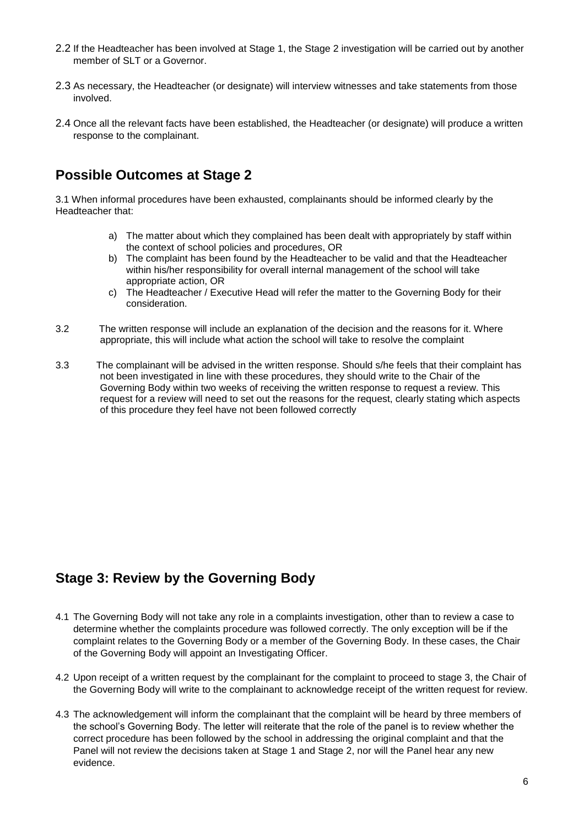- 2.2 If the Headteacher has been involved at Stage 1, the Stage 2 investigation will be carried out by another member of SLT or a Governor.
- 2.3 As necessary, the Headteacher (or designate) will interview witnesses and take statements from those involved.
- 2.4 Once all the relevant facts have been established, the Headteacher (or designate) will produce a written response to the complainant.

#### **Possible Outcomes at Stage 2**

3.1 When informal procedures have been exhausted, complainants should be informed clearly by the Headteacher that:

- a) The matter about which they complained has been dealt with appropriately by staff within the context of school policies and procedures, OR
- b) The complaint has been found by the Headteacher to be valid and that the Headteacher within his/her responsibility for overall internal management of the school will take appropriate action, OR
- c) The Headteacher / Executive Head will refer the matter to the Governing Body for their consideration.
- 3.2 The written response will include an explanation of the decision and the reasons for it. Where appropriate, this will include what action the school will take to resolve the complaint
- 3.3 The complainant will be advised in the written response. Should s/he feels that their complaint has not been investigated in line with these procedures, they should write to the Chair of the Governing Body within two weeks of receiving the written response to request a review. This request for a review will need to set out the reasons for the request, clearly stating which aspects of this procedure they feel have not been followed correctly

# **Stage 3: Review by the Governing Body**

- 4.1 The Governing Body will not take any role in a complaints investigation, other than to review a case to determine whether the complaints procedure was followed correctly. The only exception will be if the complaint relates to the Governing Body or a member of the Governing Body. In these cases, the Chair of the Governing Body will appoint an Investigating Officer.
- 4.2 Upon receipt of a written request by the complainant for the complaint to proceed to stage 3, the Chair of the Governing Body will write to the complainant to acknowledge receipt of the written request for review.
- 4.3 The acknowledgement will inform the complainant that the complaint will be heard by three members of the school's Governing Body. The letter will reiterate that the role of the panel is to review whether the correct procedure has been followed by the school in addressing the original complaint and that the Panel will not review the decisions taken at Stage 1 and Stage 2, nor will the Panel hear any new evidence.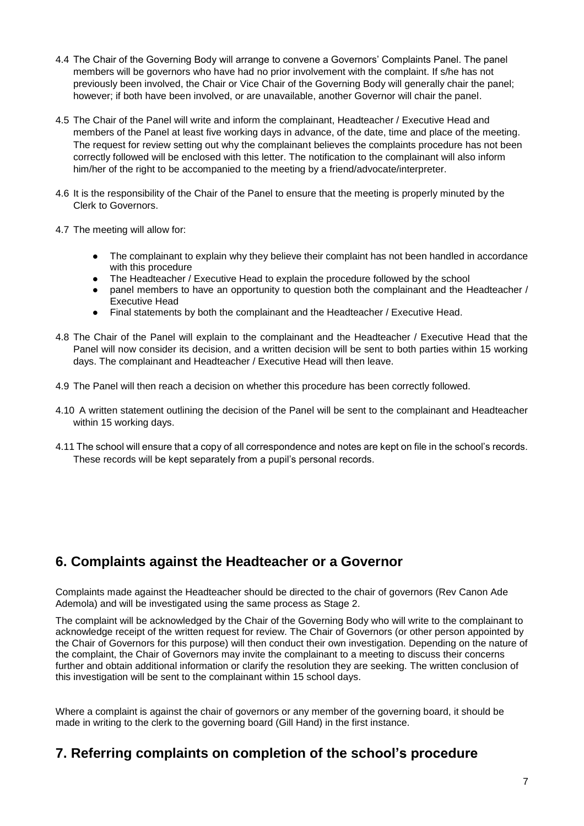- 4.4 The Chair of the Governing Body will arrange to convene a Governors' Complaints Panel. The panel members will be governors who have had no prior involvement with the complaint. If s/he has not previously been involved, the Chair or Vice Chair of the Governing Body will generally chair the panel; however; if both have been involved, or are unavailable, another Governor will chair the panel.
- 4.5 The Chair of the Panel will write and inform the complainant, Headteacher / Executive Head and members of the Panel at least five working days in advance, of the date, time and place of the meeting. The request for review setting out why the complainant believes the complaints procedure has not been correctly followed will be enclosed with this letter. The notification to the complainant will also inform him/her of the right to be accompanied to the meeting by a friend/advocate/interpreter.
- 4.6 It is the responsibility of the Chair of the Panel to ensure that the meeting is properly minuted by the Clerk to Governors.
- 4.7 The meeting will allow for:
	- The complainant to explain why they believe their complaint has not been handled in accordance with this procedure
	- The Headteacher / Executive Head to explain the procedure followed by the school
	- panel members to have an opportunity to question both the complainant and the Headteacher / Executive Head
	- Final statements by both the complainant and the Headteacher / Executive Head.
- 4.8 The Chair of the Panel will explain to the complainant and the Headteacher / Executive Head that the Panel will now consider its decision, and a written decision will be sent to both parties within 15 working days. The complainant and Headteacher / Executive Head will then leave.
- 4.9 The Panel will then reach a decision on whether this procedure has been correctly followed.
- 4.10 A written statement outlining the decision of the Panel will be sent to the complainant and Headteacher within 15 working days.
- 4.11 The school will ensure that a copy of all correspondence and notes are kept on file in the school's records. These records will be kept separately from a pupil's personal records.

#### **6. Complaints against the Headteacher or a Governor**

Complaints made against the Headteacher should be directed to the chair of governors (Rev Canon Ade Ademola) and will be investigated using the same process as Stage 2.

The complaint will be acknowledged by the Chair of the Governing Body who will write to the complainant to acknowledge receipt of the written request for review. The Chair of Governors (or other person appointed by the Chair of Governors for this purpose) will then conduct their own investigation. Depending on the nature of the complaint, the Chair of Governors may invite the complainant to a meeting to discuss their concerns further and obtain additional information or clarify the resolution they are seeking. The written conclusion of this investigation will be sent to the complainant within 15 school days.

Where a complaint is against the chair of governors or any member of the governing board, it should be made in writing to the clerk to the governing board (Gill Hand) in the first instance.

#### **7. Referring complaints on completion of the school's procedure**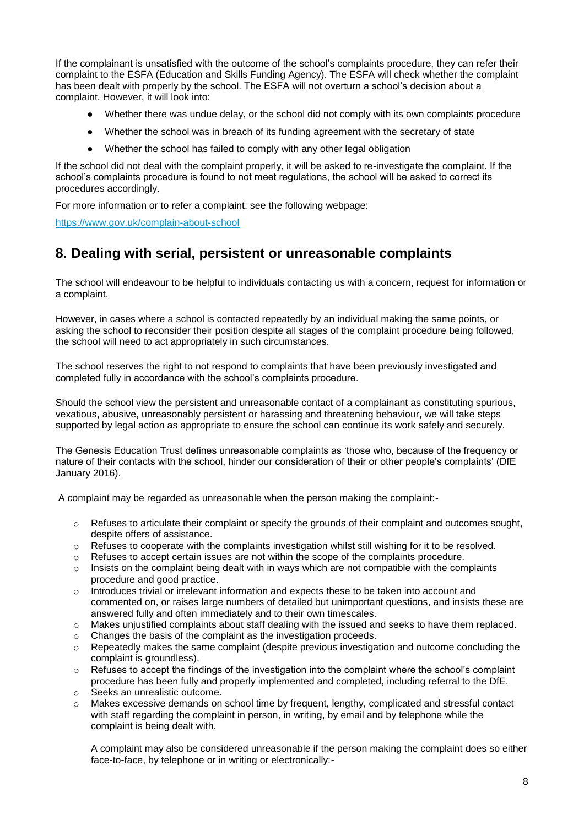If the complainant is unsatisfied with the outcome of the school's complaints procedure, they can refer their complaint to the ESFA (Education and Skills Funding Agency). The ESFA will check whether the complaint has been dealt with properly by the school. The ESFA will not overturn a school's decision about a complaint. However, it will look into:

- Whether there was undue delay, or the school did not comply with its own complaints procedure
- Whether the school was in breach of its funding agreement with the secretary of state
- Whether the school has failed to comply with any other legal obligation

If the school did not deal with the complaint properly, it will be asked to re-investigate the complaint. If the school's complaints procedure is found to not meet regulations, the school will be asked to correct its procedures accordingly.

For more information or to refer a complaint, see the following webpage:

<https://www.gov.uk/complain-about-school>

#### **8. Dealing with serial, persistent or unreasonable complaints**

The school will endeavour to be helpful to individuals contacting us with a concern, request for information or a complaint.

However, in cases where a school is contacted repeatedly by an individual making the same points, or asking the school to reconsider their position despite all stages of the complaint procedure being followed, the school will need to act appropriately in such circumstances.

The school reserves the right to not respond to complaints that have been previously investigated and completed fully in accordance with the school's complaints procedure.

Should the school view the persistent and unreasonable contact of a complainant as constituting spurious, vexatious, abusive, unreasonably persistent or harassing and threatening behaviour, we will take steps supported by legal action as appropriate to ensure the school can continue its work safely and securely.

The Genesis Education Trust defines unreasonable complaints as 'those who, because of the frequency or nature of their contacts with the school, hinder our consideration of their or other people's complaints' (DfE January 2016).

A complaint may be regarded as unreasonable when the person making the complaint:-

- $\circ$  Refuses to articulate their complaint or specify the grounds of their complaint and outcomes sought, despite offers of assistance.
- o Refuses to cooperate with the complaints investigation whilst still wishing for it to be resolved.
- o Refuses to accept certain issues are not within the scope of the complaints procedure.
- $\circ$  Insists on the complaint being dealt with in ways which are not compatible with the complaints procedure and good practice.
- $\circ$  Introduces trivial or irrelevant information and expects these to be taken into account and commented on, or raises large numbers of detailed but unimportant questions, and insists these are answered fully and often immediately and to their own timescales.
- o Makes unjustified complaints about staff dealing with the issued and seeks to have them replaced.
- o Changes the basis of the complaint as the investigation proceeds.
- $\circ$  Repeatedly makes the same complaint (despite previous investigation and outcome concluding the complaint is groundless).
- $\circ$  Refuses to accept the findings of the investigation into the complaint where the school's complaint procedure has been fully and properly implemented and completed, including referral to the DfE.
- o Seeks an unrealistic outcome.
- o Makes excessive demands on school time by frequent, lengthy, complicated and stressful contact with staff regarding the complaint in person, in writing, by email and by telephone while the complaint is being dealt with.

A complaint may also be considered unreasonable if the person making the complaint does so either face-to-face, by telephone or in writing or electronically:-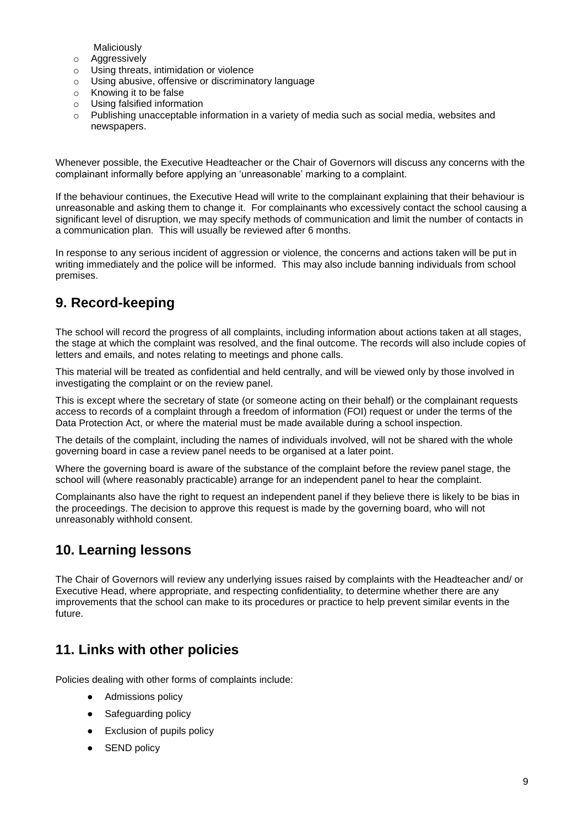Maliciously

- o Aggressively
- o Using threats, intimidation or violence
- o Using abusive, offensive or discriminatory language
- o Knowing it to be false
- o Using falsified information
- $\circ$  Publishing unacceptable information in a variety of media such as social media, websites and newspapers.

Whenever possible, the Executive Headteacher or the Chair of Governors will discuss any concerns with the complainant informally before applying an 'unreasonable' marking to a complaint.

If the behaviour continues, the Executive Head will write to the complainant explaining that their behaviour is unreasonable and asking them to change it. For complainants who excessively contact the school causing a significant level of disruption, we may specify methods of communication and limit the number of contacts in a communication plan. This will usually be reviewed after 6 months.

In response to any serious incident of aggression or violence, the concerns and actions taken will be put in writing immediately and the police will be informed. This may also include banning individuals from school premises.

# **9. Record-keeping**

The school will record the progress of all complaints, including information about actions taken at all stages, the stage at which the complaint was resolved, and the final outcome. The records will also include copies of letters and emails, and notes relating to meetings and phone calls.

This material will be treated as confidential and held centrally, and will be viewed only by those involved in investigating the complaint or on the review panel.

This is except where the secretary of state (or someone acting on their behalf) or the complainant requests access to records of a complaint through a freedom of information (FOI) request or under the terms of the Data Protection Act, or where the material must be made available during a school inspection.

The details of the complaint, including the names of individuals involved, will not be shared with the whole governing board in case a review panel needs to be organised at a later point.

Where the governing board is aware of the substance of the complaint before the review panel stage, the school will (where reasonably practicable) arrange for an independent panel to hear the complaint.

Complainants also have the right to request an independent panel if they believe there is likely to be bias in the proceedings. The decision to approve this request is made by the governing board, who will not unreasonably withhold consent.

# **10. Learning lessons**

The Chair of Governors will review any underlying issues raised by complaints with the Headteacher and/ or Executive Head, where appropriate, and respecting confidentiality, to determine whether there are any improvements that the school can make to its procedures or practice to help prevent similar events in the future.

# <span id="page-8-0"></span>**11. Links with other policies**

Policies dealing with other forms of complaints include:

- Admissions policy
- Safeguarding policy
- Exclusion of pupils policy
- **SEND policy**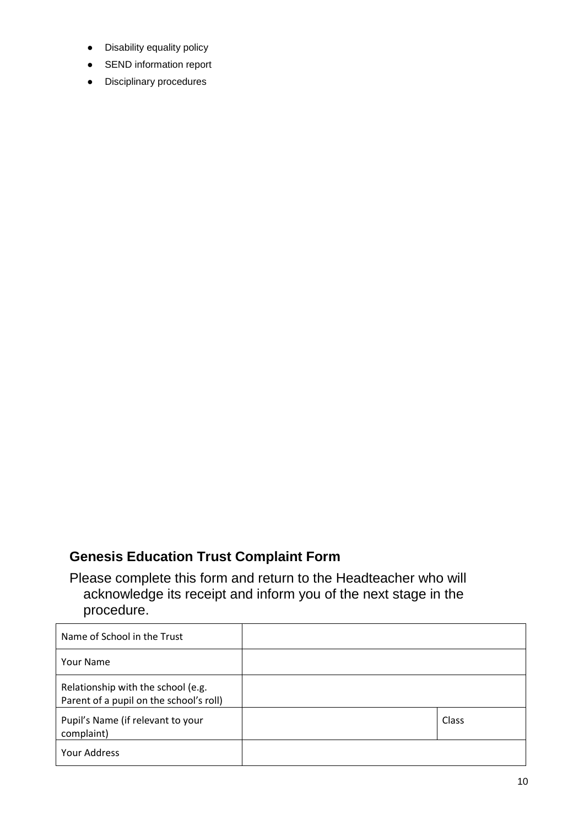- Disability equality policy
- SEND information report
- Disciplinary procedures

# **Genesis Education Trust Complaint Form**

Please complete this form and return to the Headteacher who will acknowledge its receipt and inform you of the next stage in the procedure.

| Name of School in the Trust                                                   |       |
|-------------------------------------------------------------------------------|-------|
| <b>Your Name</b>                                                              |       |
| Relationship with the school (e.g.<br>Parent of a pupil on the school's roll) |       |
| Pupil's Name (if relevant to your<br>complaint)                               | Class |
| Your Address                                                                  |       |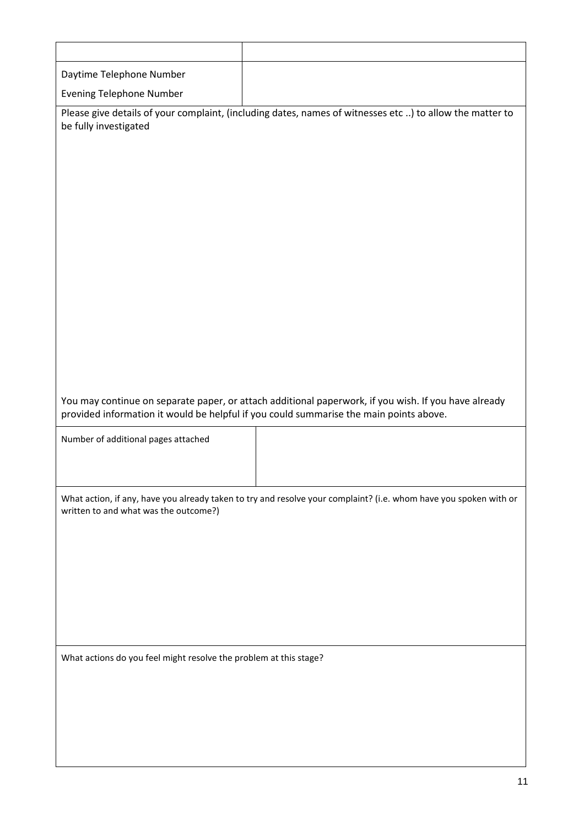| Daytime Telephone Number                                                                                                                                                                       |                                                                                                                   |  |  |  |  |
|------------------------------------------------------------------------------------------------------------------------------------------------------------------------------------------------|-------------------------------------------------------------------------------------------------------------------|--|--|--|--|
| <b>Evening Telephone Number</b>                                                                                                                                                                |                                                                                                                   |  |  |  |  |
| be fully investigated                                                                                                                                                                          | Please give details of your complaint, (including dates, names of witnesses etc ) to allow the matter to          |  |  |  |  |
| You may continue on separate paper, or attach additional paperwork, if you wish. If you have already<br>provided information it would be helpful if you could summarise the main points above. |                                                                                                                   |  |  |  |  |
| Number of additional pages attached                                                                                                                                                            |                                                                                                                   |  |  |  |  |
| written to and what was the outcome?)                                                                                                                                                          | What action, if any, have you already taken to try and resolve your complaint? (i.e. whom have you spoken with or |  |  |  |  |
|                                                                                                                                                                                                |                                                                                                                   |  |  |  |  |
| What actions do you feel might resolve the problem at this stage?                                                                                                                              |                                                                                                                   |  |  |  |  |
|                                                                                                                                                                                                |                                                                                                                   |  |  |  |  |
|                                                                                                                                                                                                |                                                                                                                   |  |  |  |  |